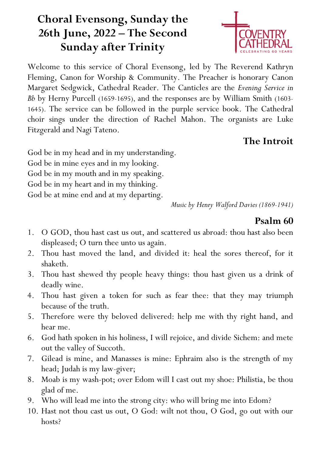# **Choral Evensong, Sunday the 26th June, 2022 – The Second Sunday after Trinity**

Welcome to this service of Choral Evensong, led by The Reverend Kathryn Fleming, Canon for Worship & Community. The Preacher is honorary Canon Margaret Sedgwick, Cathedral Reader. The Canticles are the *Evening Service in Bb* by Herny Purcell (1659-1695), and the responses are by William Smith (1603- 1645). The service can be followed in the purple service book. The Cathedral choir sings under the direction of Rachel Mahon. The organists are Luke Fitzgerald and Nagi Tateno.

**The Introit**

God be in my head and in my understanding. God be in mine eyes and in my looking. God be in my mouth and in my speaking. God be in my heart and in my thinking. God be at mine end and at my departing.

*Music by Henry Walford Davies (1869-1941)*

# **Psalm 60**

- 1. O GOD, thou hast cast us out, and scattered us abroad: thou hast also been displeased; O turn thee unto us again.
- 2. Thou hast moved the land, and divided it: heal the sores thereof, for it shaketh.
- 3. Thou hast shewed thy people heavy things: thou hast given us a drink of deadly wine.
- 4. Thou hast given a token for such as fear thee: that they may triumph because of the truth.
- 5. Therefore were thy beloved delivered: help me with thy right hand, and hear me.
- 6. God hath spoken in his holiness, I will rejoice, and divide Sichem: and mete out the valley of Succoth.
- 7. Gilead is mine, and Manasses is mine: Ephraim also is the strength of my head; Judah is my law-giver;
- 8. Moab is my wash-pot; over Edom will I cast out my shoe: Philistia, be thou glad of me.
- 9. Who will lead me into the strong city: who will bring me into Edom?
- 10. Hast not thou cast us out, O God: wilt not thou, O God, go out with our hosts?

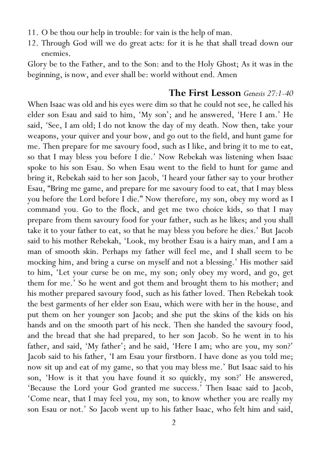- 11. O be thou our help in trouble: for vain is the help of man.
- 12. Through God will we do great acts: for it is he that shall tread down our enemies.

Glory be to the Father, and to the Son: and to the Holy Ghost; As it was in the beginning, is now, and ever shall be: world without end. Amen

**The First Lesson** *Genesis 27:1-40* When Isaac was old and his eyes were dim so that he could not see, he called his elder son Esau and said to him, 'My son'; and he answered, 'Here I am.' He said, 'See, I am old; I do not know the day of my death. Now then, take your weapons, your quiver and your bow, and go out to the field, and hunt game for me. Then prepare for me savoury food, such as I like, and bring it to me to eat, so that I may bless you before I die.' Now Rebekah was listening when Isaac spoke to his son Esau. So when Esau went to the field to hunt for game and bring it, Rebekah said to her son Jacob, 'I heard your father say to your brother Esau, "Bring me game, and prepare for me savoury food to eat, that I may bless you before the Lord before I die." Now therefore, my son, obey my word as I command you. Go to the flock, and get me two choice kids, so that I may prepare from them savoury food for your father, such as he likes; and you shall take it to your father to eat, so that he may bless you before he dies.' But Jacob said to his mother Rebekah, 'Look, my brother Esau is a hairy man, and I am a man of smooth skin. Perhaps my father will feel me, and I shall seem to be mocking him, and bring a curse on myself and not a blessing.' His mother said to him, 'Let your curse be on me, my son; only obey my word, and go, get them for me.' So he went and got them and brought them to his mother; and his mother prepared savoury food, such as his father loved. Then Rebekah took the best garments of her elder son Esau, which were with her in the house, and put them on her younger son Jacob; and she put the skins of the kids on his hands and on the smooth part of his neck. Then she handed the savoury food, and the bread that she had prepared, to her son Jacob. So he went in to his father, and said, 'My father'; and he said, 'Here I am; who are you, my son?' Jacob said to his father, 'I am Esau your firstborn. I have done as you told me; now sit up and eat of my game, so that you may bless me.' But Isaac said to his son, 'How is it that you have found it so quickly, my son?' He answered, 'Because the Lord your God granted me success.' Then Isaac said to Jacob, 'Come near, that I may feel you, my son, to know whether you are really my son Esau or not.' So Jacob went up to his father Isaac, who felt him and said,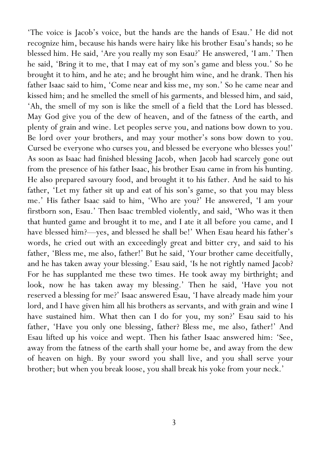'The voice is Jacob's voice, but the hands are the hands of Esau.' He did not recognize him, because his hands were hairy like his brother Esau's hands; so he blessed him. He said, 'Are you really my son Esau?' He answered, 'I am.' Then he said, 'Bring it to me, that I may eat of my son's game and bless you.' So he brought it to him, and he ate; and he brought him wine, and he drank. Then his father Isaac said to him, 'Come near and kiss me, my son.' So he came near and kissed him; and he smelled the smell of his garments, and blessed him, and said, 'Ah, the smell of my son is like the smell of a field that the Lord has blessed. May God give you of the dew of heaven, and of the fatness of the earth, and plenty of grain and wine. Let peoples serve you, and nations bow down to you. Be lord over your brothers, and may your mother's sons bow down to you. Cursed be everyone who curses you, and blessed be everyone who blesses you!' As soon as Isaac had finished blessing Jacob, when Jacob had scarcely gone out from the presence of his father Isaac, his brother Esau came in from his hunting. He also prepared savoury food, and brought it to his father. And he said to his father, 'Let my father sit up and eat of his son's game, so that you may bless me.' His father Isaac said to him, 'Who are you?' He answered, 'I am your firstborn son, Esau.' Then Isaac trembled violently, and said, 'Who was it then that hunted game and brought it to me, and I ate it all before you came, and I have blessed him?—yes, and blessed he shall be!' When Esau heard his father's words, he cried out with an exceedingly great and bitter cry, and said to his father, 'Bless me, me also, father!' But he said, 'Your brother came deceitfully, and he has taken away your blessing.' Esau said, 'Is he not rightly named Jacob? For he has supplanted me these two times. He took away my birthright; and look, now he has taken away my blessing.' Then he said, 'Have you not reserved a blessing for me?' Isaac answered Esau, 'I have already made him your lord, and I have given him all his brothers as servants, and with grain and wine I have sustained him. What then can I do for you, my son?' Esau said to his father, 'Have you only one blessing, father? Bless me, me also, father!' And Esau lifted up his voice and wept. Then his father Isaac answered him: 'See, away from the fatness of the earth shall your home be, and away from the dew of heaven on high. By your sword you shall live, and you shall serve your brother; but when you break loose, you shall break his yoke from your neck.'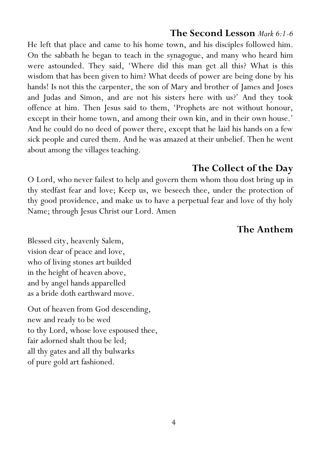#### **The Second Lesson** *Mark 6:1-6*

He left that place and came to his home town, and his disciples followed him. On the sabbath he began to teach in the synagogue, and many who heard him were astounded. They said, 'Where did this man get all this? What is this wisdom that has been given to him? What deeds of power are being done by his hands! Is not this the carpenter, the son of Mary and brother of James and Joses and Judas and Simon, and are not his sisters here with us?' And they took offence at him. Then Jesus said to them, 'Prophets are not without honour, except in their home town, and among their own kin, and in their own house.' And he could do no deed of power there, except that he laid his hands on a few sick people and cured them. And he was amazed at their unbelief. Then he went about among the villages teaching.

#### **The Collect of the Day**

O Lord, who never failest to help and govern them whom thou dost bring up in thy stedfast fear and love; Keep us, we beseech thee, under the protection of thy good providence, and make us to have a perpetual fear and love of thy holy Name; through Jesus Christ our Lord. Amen

#### **The Anthem**

Blessed city, heavenly Salem, vision dear of peace and love, who of living stones art builded in the height of heaven above, and by angel hands apparelled as a bride doth earthward move.

Out of heaven from God descending, new and ready to be wed to thy Lord, whose love espoused thee, fair adorned shalt thou be led; all thy gates and all thy bulwarks of pure gold art fashioned.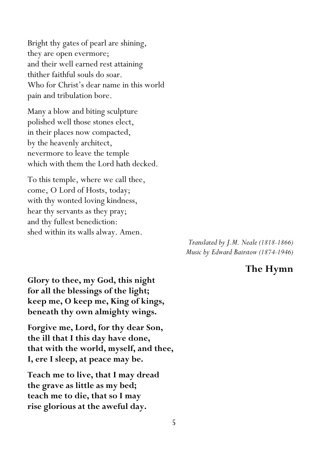Bright thy gates of pearl are shining, they are open evermore; and their well earned rest attaining thither faithful souls do soar. Who for Christ's dear name in this world pain and tribulation bore.

Many a blow and biting sculpture polished well those stones elect, in their places now compacted, by the heavenly architect, nevermore to leave the temple which with them the Lord hath decked.

To this temple, where we call thee, come, O Lord of Hosts, today; with thy wonted loving kindness, hear thy servants as they pray; and thy fullest benediction: shed within its walls alway. Amen.

> *Translated by J.M. Neale (1818-1866) Music by Edward Bairstow (1874-1946)*

## **The Hymn**

**Glory to thee, my God, this night for all the blessings of the light; keep me, O keep me, King of kings, beneath thy own almighty wings.**

**Forgive me, Lord, for thy dear Son, the ill that I this day have done, that with the world, myself, and thee, I, ere I sleep, at peace may be.**

**Teach me to live, that I may dread the grave as little as my bed; teach me to die, that so I may rise glorious at the aweful day.**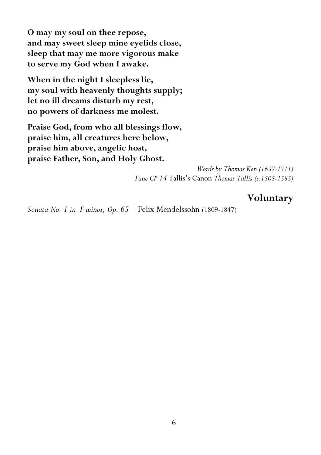**O may my soul on thee repose, and may sweet sleep mine eyelids close, sleep that may me more vigorous make to serve my God when I awake.**

**When in the night I sleepless lie, my soul with heavenly thoughts supply; let no ill dreams disturb my rest, no powers of darkness me molest.**

**Praise God, from who all blessings flow, praise him, all creatures here below, praise him above, angelic host, praise Father, Son, and Holy Ghost.**

> *Words by Thomas Ken (1637-1711) Tune CP 14* Tallis's Canon *Thomas Tallis (c.1505-1585)*

## **Voluntary**

*Sonata No. 1 in F minor, Op. 65* – Felix Mendelssohn (1809-1847)